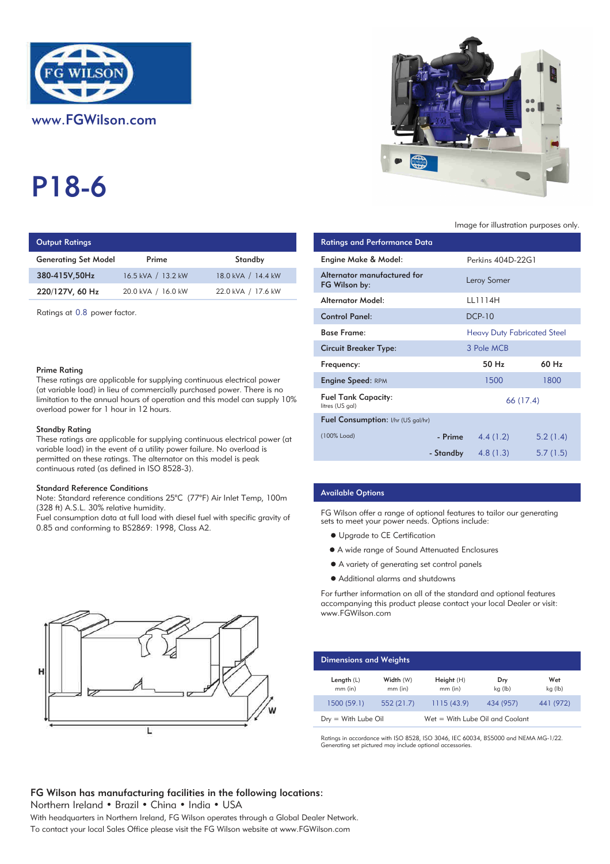

# P18-6

# **Output Ratings**

| <b>Generating Set Model</b> | Prime              | Standby            | Engine Make & Model:   |
|-----------------------------|--------------------|--------------------|------------------------|
| 380-415V.50Hz               | 16.5 kVA / 13.2 kW | 18.0 kVA / 14.4 kW | Alternator manufacture |
| 220/127V, 60 Hz             | 20.0 kVA / 16.0 kW | 22.0 kVA / 17.6 kW | FG Wilson by:          |
|                             |                    |                    |                        |

Ratings at 0.8 power factor.

#### Prime Rating

These ratings are applicable for supplying continuous electrical power (at variable load) in lieu of commercially purchased power. There is no limitation to the annual hours of operation and this model can supply 10% overload power for 1 hour in 12 hours.

#### Standby Rating

These ratings are applicable for supplying continuous electrical power (at variable load) in the event of a utility power failure. No overload is permitted on these ratings. The alternator on this model is peak continuous rated (as defined in ISO 8528-3).

#### Standard Reference Conditions

Note: Standard reference conditions 25°C (77°F) Air Inlet Temp, 100m (328 ft) A.S.L. 30% relative humidity.

Fuel consumption data at full load with diesel fuel with specific gravity of 0.85 and conforming to BS2869: 1998, Class A2.





# Image for illustration purposes only.

| <b>Ratings and Performance Data</b>           |                                    |                      |
|-----------------------------------------------|------------------------------------|----------------------|
| Engine Make & Model:                          | Perkins 404D-22G1                  |                      |
| Alternator manufactured for                   | Leroy Somer                        |                      |
|                                               |                                    |                      |
| <b>Alternator Model:</b>                      | LL1114H                            |                      |
| <b>Control Panel:</b>                         | <b>DCP-10</b>                      |                      |
| <b>Base Frame:</b>                            | <b>Heavy Duty Fabricated Steel</b> |                      |
| <b>Circuit Breaker Type:</b>                  | 3 Pole MCB                         |                      |
| Frequency:                                    | 50 Hz                              | 60 Hz                |
| <b>Engine Speed: RPM</b>                      | 1500                               | 1800                 |
| <b>Fuel Tank Capacity:</b><br>litres (US gal) | 66 (17.4)                          |                      |
| Fuel Consumption: I/hr (US gal/hr)            |                                    |                      |
| (100% Load)                                   | 4.4(1.2)                           | 5.2(1.4)             |
|                                               | 4.8(1.3)                           | 5.7(1.5)             |
|                                               | FG Wilson by:                      | - Prime<br>- Standby |

# Available Options

FG Wilson offer a range of optional features to tailor our generating sets to meet your power needs. Options include:

- Upgrade to CE Certification
- A wide range of Sound Attenuated Enclosures
- A variety of generating set control panels
- Additional alarms and shutdowns

For further information on all of the standard and optional features accompanying this product please contact your local Dealer or visit: www.FGWilson.com

| <b>Dimensions and Weights</b> |                        |                                   |                |                |
|-------------------------------|------------------------|-----------------------------------|----------------|----------------|
| Length $(L)$<br>$mm$ (in)     | Width (W)<br>$mm$ (in) | Height (H)<br>mm (in)             | Dry<br>kg (lb) | Wet<br>kg (lb) |
| 1500 (59.1)                   | 552(21.7)              | 1115(43.9)                        | 434 (957)      | 441 (972)      |
| $Dry = With Lube Oil$         |                        | $Wet = With Lube Oil and Coolant$ |                |                |

Ratings in accordance with ISO 8528, ISO 3046, IEC 60034, BS5000 and NEMA MG-1/22. Generating set pictured may include optional accessories.

# FG Wilson has manufacturing facilities in the following locations:

Northern Ireland . Brazil . China . India . USA

With headquarters in Northern Ireland, FG Wilson operates through a Global Dealer Network. To contact your local Sales Office please visit the FG Wilson website at www.FGWilson.com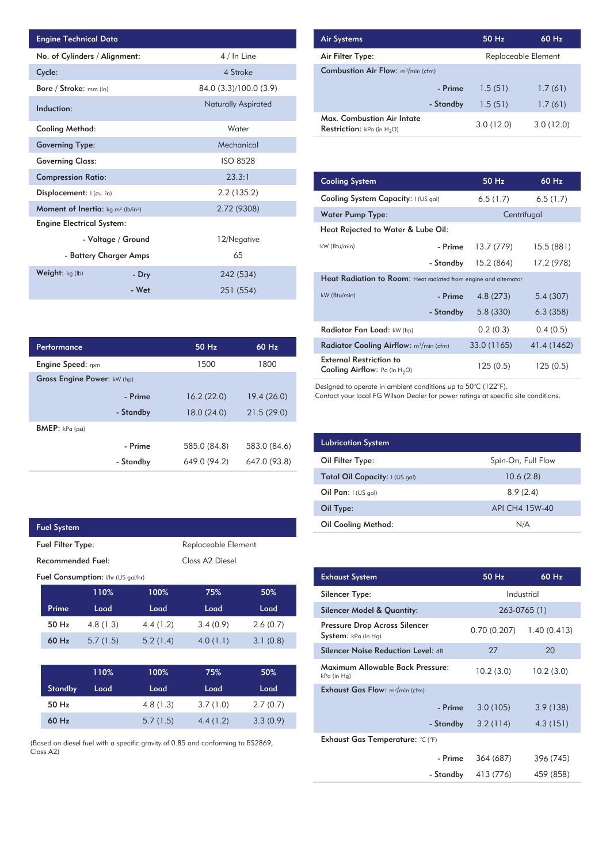| <b>Engine Technical Data</b>                               |                        |                            | <b>Air Systems</b>               |
|------------------------------------------------------------|------------------------|----------------------------|----------------------------------|
| No. of Cylinders / Alignment:                              |                        | 4 / In Line                | Air Filter Ty                    |
| Cycle:                                                     |                        | 4 Stroke                   | Combustion                       |
| Bore / Stroke: mm (in)                                     |                        | 84.0 (3.3)/100.0 (3.9)     |                                  |
| Induction:                                                 |                        | <b>Naturally Aspirated</b> |                                  |
| Cooling Method:                                            |                        | Water                      | Max. Comb<br><b>Restriction:</b> |
| <b>Governing Type:</b>                                     |                        | Mechanical                 |                                  |
| <b>Governing Class:</b>                                    |                        | <b>ISO 8528</b>            |                                  |
| <b>Compression Ratio:</b>                                  |                        | 23.3:1                     | <b>Cooling Sys</b>               |
| Displacement:  (cu. in)                                    |                        | 2.2 (135.2)                | <b>Cooling Sys</b>               |
| Moment of Inertia: kg m <sup>2</sup> (lb/in <sup>2</sup> ) |                        | 2.72 (9308)                | <b>Water Pum</b>                 |
| <b>Engine Electrical System:</b>                           |                        |                            | <b>Heat Reject</b>               |
|                                                            | - Voltage / Ground     | 12/Negative                | kW (Btu/min)                     |
|                                                            | - Battery Charger Amps | 65                         |                                  |
| Weight: kg (lb)                                            | - Dry                  | 242 (534)                  | <b>Heat Radia</b>                |
|                                                            | - Wet                  | 251 (554)                  | $kW$ ( $Rt_{1}/min$ )            |

| <b>Performance</b>          |           | $50$ Hz      | $60$ Hz      |
|-----------------------------|-----------|--------------|--------------|
| <b>Engine Speed:</b> rpm    |           | 1500         | 1800         |
| Gross Engine Power: kW (hp) |           |              |              |
|                             | - Prime   | 16.2(22.0)   | 19.4(26.0)   |
|                             | - Standby | 18.0(24.0)   | 21.5(29.0)   |
| BMEP: kPa (psi)             |           |              |              |
|                             | - Prime   | 585.0 (84.8) | 583.0 (84.6) |
|                             | - Standby | 649.0 (94.2) | 647.0 (93.8) |

| <b>Fuel System</b>                   |                                           |          |                     |          |
|--------------------------------------|-------------------------------------------|----------|---------------------|----------|
| <b>Fuel Filter Type:</b>             |                                           |          | Replaceable Element |          |
| Recommended Fuel:<br>Class A2 Diesel |                                           |          |                     |          |
|                                      | <b>Fuel Consumption:</b> I/hr (US gal/hr) |          |                     |          |
|                                      | 110%                                      | 100%     | 75%                 | 50%      |
| Prime                                | Load                                      | Load     | Load                | Load     |
| 50 Hz                                | 4.8(1.3)                                  | 4.4(1.2) | 3.4(0.9)            | 2.6(0.7) |
| $60$ Hz                              | 5.7(1.5)                                  | 5.2(1.4) | 4.0(1.1)            | 3.1(0.8) |
|                                      |                                           |          |                     |          |
|                                      | 110%                                      | 100%     | 75%                 | 50%      |
| <b>Standby</b>                       | Load                                      | Load     | Load                | Load     |

I

60 Hz 50 Hz 3.3 (0.9) 2.7 (0.7) 4.4 (1.2) 3.7 (1.0) 5.7 (1.5) 4.8 (1.3)

(Based on diesel fuel with a specific gravity of 0.85 and conforming to BS2869, Class A2)

| <b>Air Systems</b>                                                        |           | 50 Hz               | $60$ Hz   |
|---------------------------------------------------------------------------|-----------|---------------------|-----------|
| Air Filter Type:                                                          |           | Replaceable Element |           |
| <b>Combustion Air Flow:</b> m <sup>3</sup> /min (cfm)                     |           |                     |           |
|                                                                           | - Prime   | 1.5(51)             | 1.7(61)   |
|                                                                           | - Standby | 1.5(51)             | 1.7(61)   |
| <b>Max. Combustion Air Intate</b><br><b>Restriction:</b> kPa (in $H_2O$ ) |           | 3.0(12.0)           | 3.0(12.0) |

| 23.3:1     |             |                                                                           |                                                                  |             |             |  |  |
|------------|-------------|---------------------------------------------------------------------------|------------------------------------------------------------------|-------------|-------------|--|--|
|            |             | <b>Cooling System</b>                                                     |                                                                  | 50 Hz       | 60 Hz       |  |  |
| 2.2(135.2) |             | Cooling System Capacity: I (US gal)                                       |                                                                  | 6.5(1.7)    | 6.5(1.7)    |  |  |
|            | 2.72 (9308) | <b>Water Pump Type:</b>                                                   |                                                                  |             | Centrifugal |  |  |
|            |             | Heat Rejected to Water & Lube Oil:                                        |                                                                  |             |             |  |  |
|            | 12/Negative | kW (Btu/min)                                                              | - Prime                                                          | 13.7 (779)  | 15.5 (881)  |  |  |
|            | 65          |                                                                           | - Standby                                                        | 15.2 (864)  | 17.2 (978)  |  |  |
| 242 (534)  |             |                                                                           | Heat Radiation to Room: Heat radiated from engine and alternator |             |             |  |  |
|            | 251 (554)   | kW (Btu/min)                                                              | - Prime                                                          | 4.8(273)    | 5.4(307)    |  |  |
|            |             |                                                                           | - Standby                                                        | 5.8(330)    | 6.3(358)    |  |  |
|            |             | Radiator Fan Load: kW (hp)                                                |                                                                  | 0.2(0.3)    | 0.4(0.5)    |  |  |
| 50 Hz      | 60 Hz       | Radiator Cooling Airflow: m <sup>3</sup> /min (cfm)                       |                                                                  | 33.0 (1165) | 41.4 (1462) |  |  |
| 1500       | 1800        | <b>External Restriction to</b><br><b>Cooling Airflow:</b> Pa (in $H_2O$ ) |                                                                  | 125(0.5)    | 125(0.5)    |  |  |
|            |             |                                                                           |                                                                  |             |             |  |  |

Designed to operate in ambient conditions up to 50°C (122°F).

Contact your local FG Wilson Dealer for power ratings at specific site conditions.

| <b>Lubrication System</b>      |                    |
|--------------------------------|--------------------|
| Oil Filter Type:               | Spin-On, Full Flow |
| Total Oil Capacity: I (US gal) | 10.6(2.8)          |
| Oil Pan: $(US gal)$            | 8.9(2.4)           |
| Oil Type:                      | API CH4 15W-40     |
| <b>Oil Cooling Method:</b>     | N/A                |

| <b>Exhaust System</b>                                | 50 Hz        | 60 Hz        |  |
|------------------------------------------------------|--------------|--------------|--|
| Silencer Type:                                       |              | Industrial   |  |
| <b>Silencer Model &amp; Quantity:</b>                |              | 263-0765 (1) |  |
| Pressure Drop Across Silencer<br>System: kPa (in Hg) | 0.70 (0.207) | 1.40(0.413)  |  |
| <b>Silencer Noise Reduction Level: dB</b>            | 27           | 20           |  |
| Maximum Allowable Back Pressure:<br>kPa (in Hg)      | 10.2(3.0)    | 10.2(3.0)    |  |
| <b>Exhaust Gas Flow:</b> $m^3/m$ in (cfm)            |              |              |  |
| - Prime                                              | 3.0(105)     | 3.9(138)     |  |
| - Standby                                            | 3.2(114)     | 4.3(151)     |  |
| Exhaust Gas Temperature: °C (°F)                     |              |              |  |
| - Prime                                              | 364 (687)    | 396 (745)    |  |
| - Standby                                            | 413 (776)    | 459 (858)    |  |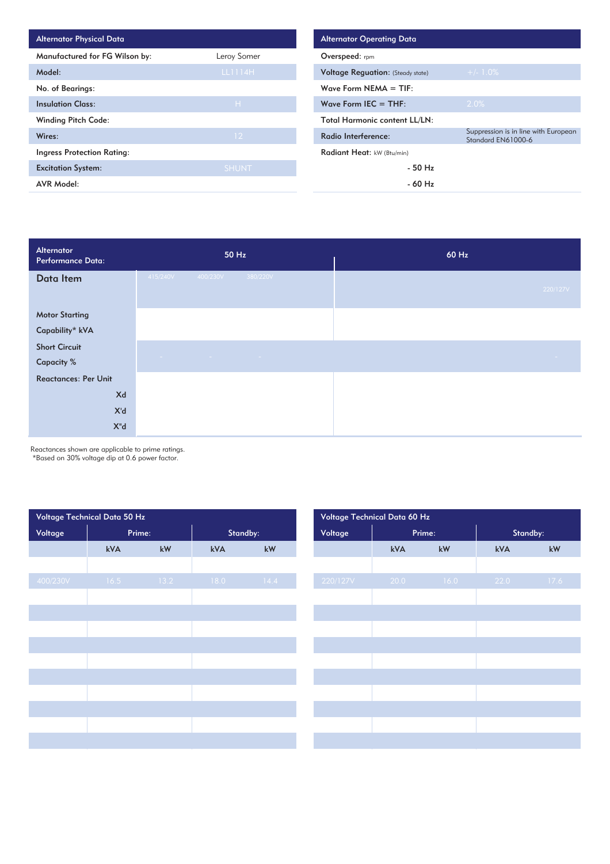| <b>Alternator Physical Data</b>   |                 | <b>Alternator Operating Data</b>         |
|-----------------------------------|-----------------|------------------------------------------|
| Manufactured for FG Wilson by:    | Leroy Somer     | Overspeed: rpm                           |
| Model:                            | LL1114H         | <b>Voltage Requation: (Steady state)</b> |
| No. of Bearings:                  |                 | Wave Form $NEMA = TIF$ :                 |
| <b>Insulation Class:</b>          | H               | Wave Form IEC $=$ THF:                   |
| <b>Winding Pitch Code:</b>        |                 | <b>Total Harmonic content LL/LN:</b>     |
| Wires:                            | 12 <sup>°</sup> | Radio Interference:                      |
| <b>Ingress Protection Rating:</b> |                 | Radiant Heat: kW (Btu/min)               |
| <b>Excitation System:</b>         | <b>SHUNT</b>    | - 50 Hz                                  |
| <b>AVR Model:</b>                 |                 | $-60$ Hz                                 |

| Alternator<br>Performance Data: | 50 Hz                                                | 60 Hz      |
|---------------------------------|------------------------------------------------------|------------|
| Data Item                       | 415/240V<br>400/230V<br>380/220V                     | 220/127V   |
| <b>Motor Starting</b>           |                                                      |            |
| Capability* kVA                 |                                                      |            |
| <b>Short Circuit</b>            |                                                      |            |
| <b>Capacity %</b>               | the control of the control of the<br><b>Contract</b> | $\sim 100$ |
| <b>Reactances: Per Unit</b>     |                                                      |            |
| Xd                              |                                                      |            |
| X'd                             |                                                      |            |
| $X^{\mathrm{u}}d$               |                                                      |            |

Reactances shown are applicable to prime ratings. \*Based on 30% voltage dip at 0.6 power factor.

| Voltage Technical Data 50 Hz |        |                        |          |                        | Voltage Technical Data 60 Hz |        |      |          |      |
|------------------------------|--------|------------------------|----------|------------------------|------------------------------|--------|------|----------|------|
| Voltage                      | Prime: |                        | Standby: |                        | Voltage                      | Prime: |      | Standby: |      |
|                              | kVA    | $\mathsf{k}\mathsf{W}$ | kVA      | $\mathsf{k}\mathsf{W}$ |                              | kVA    | kW   | kVA      | kW   |
|                              |        |                        |          |                        |                              |        |      |          |      |
| 400/230V                     | 16.5   | 13.2                   | 18.0     | 14.4                   | 220/127V                     | 20.0   | 16.0 | 22.0     | 17.6 |
|                              |        |                        |          |                        |                              |        |      |          |      |
|                              |        |                        |          |                        |                              |        |      |          |      |
|                              |        |                        |          |                        |                              |        |      |          |      |
|                              |        |                        |          |                        |                              |        |      |          |      |
|                              |        |                        |          |                        |                              |        |      |          |      |
|                              |        |                        |          |                        |                              |        |      |          |      |
|                              |        |                        |          |                        |                              |        |      |          |      |
|                              |        |                        |          |                        |                              |        |      |          |      |
|                              |        |                        |          |                        |                              |        |      |          |      |
|                              |        |                        |          |                        |                              |        |      |          |      |